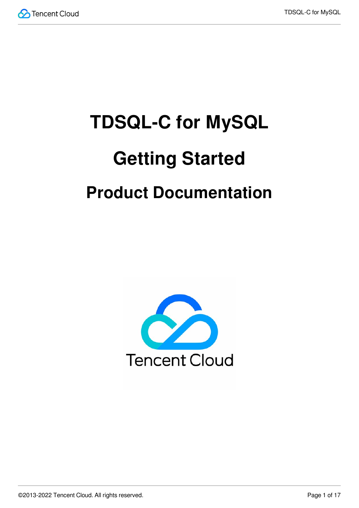

# **TDSQL-C for MySQL Getting Started Product Documentation**

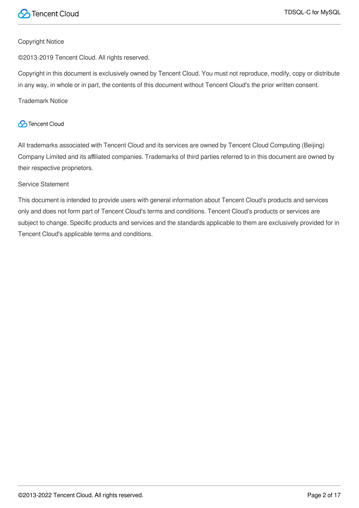

### Copyright Notice

©2013-2019 Tencent Cloud. All rights reserved.

Copyright in this document is exclusively owned by Tencent Cloud. You must not reproduce, modify, copy or distribute in any way, in whole or in part, the contents of this document without Tencent Cloud's the prior written consent.

Trademark Notice

### **C** Tencent Cloud

All trademarks associated with Tencent Cloud and its services are owned by Tencent Cloud Computing (Beijing) Company Limited and its affiliated companies. Trademarks of third parties referred to in this document are owned by their respective proprietors.

### Service Statement

This document is intended to provide users with general information about Tencent Cloud's products and services only and does not form part of Tencent Cloud's terms and conditions. Tencent Cloud's products or services are subject to change. Specific products and services and the standards applicable to them are exclusively provided for in Tencent Cloud's applicable terms and conditions.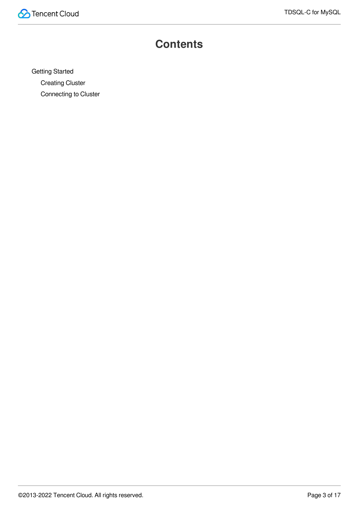

### **Contents**

Getting [Started](#page-3-0)

[Creating](#page-3-1) Cluster

[Connecting](#page-7-0) to Cluster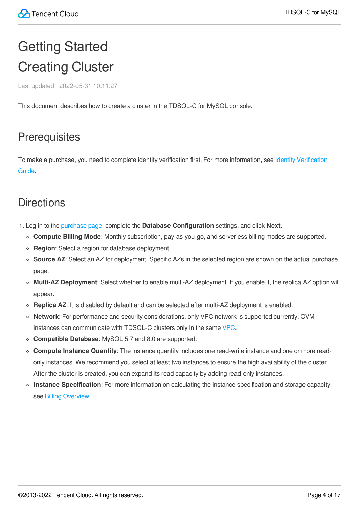## <span id="page-3-1"></span><span id="page-3-0"></span>Getting Started Creating Cluster

Last updated 2022-05-31 10:11:27

This document describes how to create a cluster in the TDSQL-C for MySQL console.

### **Prerequisites**

To make a purchase, you need to [complete identity verification](https://intl.cloud.tencent.com/document/product/378/3629) first. For more information, see Identity Verification Guide.

### **Directions**

- 1. Log in to the [purchase](https://buy.intl.cloud.tencent.com/cynosdb?regionId=8) page, complete the **Database Configuration** settings, and click **Next**.
	- **Compute Billing Mode**: Monthly subscription, pay-as-you-go, and serverless billing modes are supported.
	- **Region**: Select a region for database deployment.
	- **Source AZ**: Select an AZ for deployment. Specific AZs in the selected region are shown on the actual purchase page.
	- **Multi-AZ Deployment**: Select whether to enable multi-AZ deployment. If you enable it, the replica AZ option will appear.
	- **Replica AZ**: It is disabled by default and can be selected after multi-AZ deployment is enabled.
	- **Network**: For performance and security considerations, only VPC network is supported currently. CVM instances can communicate with TDSQL-C clusters only in the same [VPC](https://intl.cloud.tencent.com/document/product/215).
	- **Compatible Database**: MySQL 5.7 and 8.0 are supported.
	- **Compute Instance Quantity**: The instance quantity includes one read-write instance and one or more readonly instances. We recommend you select at least two instances to ensure the high availability of the cluster. After the cluster is created, you can expand its read capacity by adding read-only instances.
	- **Instance Specification**: For more information on calculating the instance specification and storage capacity, see Billing [Overview.](https://intl.cloud.tencent.com/document/product/1098/40620)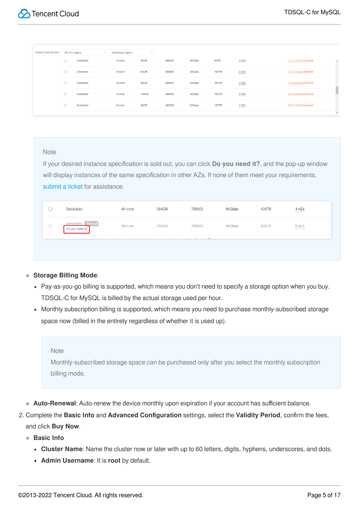| Instance Specification | All CPU Specs           | $\checkmark$ | All Memory Specs | $\checkmark$ |        |        |              |                   |                                                  |
|------------------------|-------------------------|--------------|------------------|--------------|--------|--------|--------------|-------------------|--------------------------------------------------|
|                        | ◡                       | Dedicated    | 12-core          | 96GB         | 288000 | 36Gbps | 80TB         | 4 AZS<br>         | <b>CONTRACTOR</b><br>$\blacktriangle$<br>D/month |
|                        | O                       | Dedicated    | 16-core          | 64GB         | 384000 | 48Gbps | <b>100TB</b> | 4 AZS<br>-------- | USD/month                                        |
|                        | $\circ$                 | Dedicated    | 16-core          | 96GB         | 384000 | 48Gbps | <b>100TB</b> | 4 AZS<br>         | SD/month                                         |
|                        | $\curvearrowright$<br>U | Dedicated    | 16-core          | <b>128GB</b> | 384000 | 48Gbps | <b>100TB</b> | 4 AZs<br>         | <b>D/month</b>                                   |
|                        | $\widehat{\phantom{m}}$ | Dedicated    | 24-core          | 96GB         | 480000 | 60Gbps | <b>150TB</b> | 4 AZS<br>         | SD/month                                         |
|                        |                         |              |                  |              |        |        |              |                   | $\overline{\phantom{a}}$                         |

If your desired instance specification is sold out, you can click **Do you need it?**, and the pop-up window will display instances of the same specification in other AZs. If none of them meet your requirements, [submit](https://console.cloud.tencent.com/workorder/category) a ticket for assistance.

|         | Dedicated                    | 64-core                | 384GB             | 720000                                                   | 90Gbps | 400TB | 4 AZS<br>-------- |  |
|---------|------------------------------|------------------------|-------------------|----------------------------------------------------------|--------|-------|-------------------|--|
| $\circ$ | Dedicated<br>Do you need it? | 88-core                | 710GB             | 780000                                                   | 98Gbps | 400TB | 0 AZs<br>-------- |  |
|         |                              | A MAIN COLLECTION<br>. | <b>CONTRACTOR</b> | <b>CONTRACTOR</b><br>- 11<br>$\sim$<br><b>STATISTICS</b> |        |       |                   |  |

#### **Storage Billing Mode**:

- Pay-as-you-go billing is supported, which means you don't need to specify a storage option when you buy. TDSQL-C for MySQL is billed by the actual storage used per hour.
- Monthly subscription billing is supported, which means you need to purchase monthly-subscribed storage space now (billed in the entirety regardless of whether it is used up).

#### **Note**

Monthly-subscribed storage space can be purchased only after you select the monthly subscription billing mode.

- **Auto-Renewal**: Auto-renew the device monthly upon expiration if your account has sufficient balance.
- 2. Complete the **Basic Info** and **Advanced Configuration** settings, select the **Validity Period**, confirm the fees, and click **Buy Now**.
	- **Basic Info**
		- **Cluster Name**: Name the cluster now or later with up to 60 letters, digits, hyphens, underscores, and dots.
		- **Admin Username**: It is **root** by default.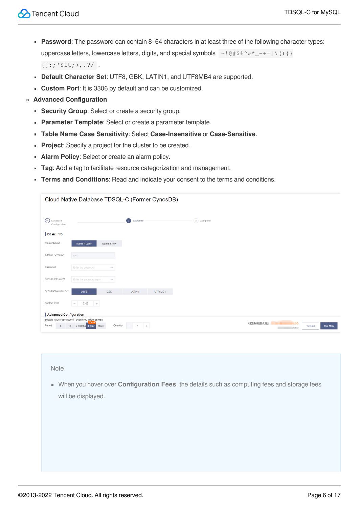- **Password**: The password can contain 8–64 characters in at least three of the following character types: uppercase letters, lowercase letters, digits, and special symbols  $\sim$ ! @#\$%^&\*\_-+=|\(){}  $[ ]:; '< I; > , . ?/ .$
- **Default Character Set**: UTF8, GBK, LATIN1, and UTF8MB4 are supported.
- **Custom Port**: It is 3306 by default and can be customized.
- **Advanced Configuration**
	- **Security Group**: Select or create a security group.
	- **Parameter Template**: Select or create a parameter template.
	- **Table Name Case Sensitivity**: Select **Case-Insensitive** or **Case-Sensitive**.
	- **Project:** Specify a project for the cluster to be created.
	- **Alarm Policy**: Select or create an alarm policy.
	- **Tag**: Add a tag to facilitate resource categorization and management.
	- **Terms and Conditions**: Read and indicate your consent to the terms and conditions.

|                                                                                                           | Cloud Native Database TDSQL-C (Former CynosDB) |                    |                                                        |
|-----------------------------------------------------------------------------------------------------------|------------------------------------------------|--------------------|--------------------------------------------------------|
| $(\checkmark)$<br>Database<br>Configuration                                                               | $\left( 2\right)$<br><b>Basic Info</b>         | (3) Complete       |                                                        |
| <b>Basic Info</b>                                                                                         |                                                |                    |                                                        |
| Cluster Name<br>Name It Later                                                                             | Name It Now                                    |                    |                                                        |
| Admin Username<br>root                                                                                    |                                                |                    |                                                        |
| Password<br>Enter the password                                                                            | $2\pi q$ ef                                    |                    |                                                        |
| Confirm Password<br>Enter the password again                                                              | <b>hyd</b>                                     |                    |                                                        |
| Default Character Set<br>UTF8                                                                             | <b>GBK</b><br>LATIN1<br>UTF8MB4                |                    |                                                        |
| Custom Port<br>3306<br>$\sim$                                                                             | $+$                                            |                    |                                                        |
| <b>Advanced Configuration</b>                                                                             |                                                |                    |                                                        |
| Selected instance specification: Dedicated 2-core/4 GB MEM<br>Period<br>$\overline{2}$<br>6 months 1 year | 7% of<br>Quantity<br>More<br>$+$               | Configuration Fees | <b>JSD</b><br><b>Buy Now</b><br>Previous<br><b>USD</b> |

When you hover over **Configuration Fees**, the details such as computing fees and storage fees will be displayed.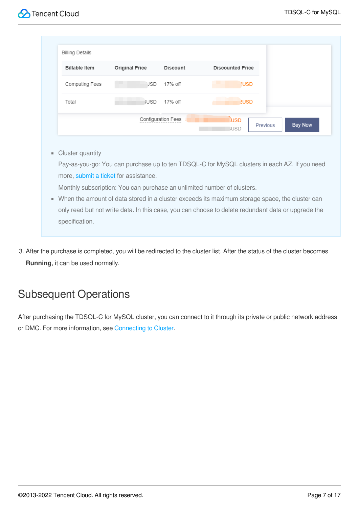| <b>Billable Item</b> | <b>Original Price</b> | <b>Discount</b> | <b>Discounted Price</b> |  |
|----------------------|-----------------------|-----------------|-------------------------|--|
| Computing Fees       | <b>JSD</b>            | 17% off         | <b>NUSD</b>             |  |
| Total                | <b>IUSD</b>           | 17% off         | <b>2USD</b>             |  |

**Cluster quantity** 

Pay-as-you-go: You can purchase up to ten TDSQL-C for MySQL clusters in each AZ. If you need more, [submit](https://console.cloud.tencent.com/workorder/category) a ticket for assistance.

Monthly subscription: You can purchase an unlimited number of clusters.

- When the amount of data stored in a cluster exceeds its maximum storage space, the cluster can only read but not write data. In this case, you can choose to delete redundant data or upgrade the specification.
- 3. After the purchase is completed, you will be redirected to the cluster list. After the status of the cluster becomes **Running**, it can be used normally.

### Subsequent Operations

After purchasing the TDSQL-C for MySQL cluster, you can connect to it through its private or public network address or DMC. For more information, see [Connecting](https://intl.cloud.tencent.com/document/product/1098/40627) to Cluster.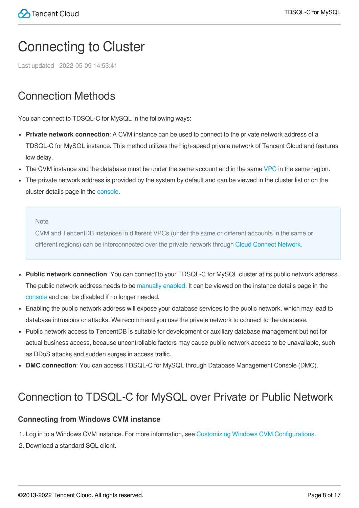### <span id="page-7-0"></span>Connecting to Cluster

Last updated 2022-05-09 14:53:41

### Connection Methods

You can connect to TDSQL-C for MySQL in the following ways:

- **Private network connection**: A CVM instance can be used to connect to the private network address of a TDSQL-C for MySQL instance. This method utilizes the high-speed private network of Tencent Cloud and features low delay.
- $\bullet$  The CVM instance and the database must be under the same account and in the same [VPC](https://intl.cloud.tencent.com/document/product/215/535) in the same region.
- The private network address is provided by the system by default and can be viewed in the cluster list or on the cluster details page in the [console.](https://console.cloud.tencent.com/cynosdb)

Note

CVM and TencentDB instances in different VPCs (under the same or different accounts in the same or different regions) can be interconnected over the private network through Cloud Connect [Network.](https://intl.cloud.tencent.com/document/product/1003)

- **Public network connection**: You can connect to your TDSQL-C for MySQL cluster at its public network address. The public network address needs to be [manually](#page-15-0) enabled. It can be viewed on the instance details page in the [console](https://console.cloud.tencent.com/cynosdb) and can be disabled if no longer needed.
- Enabling the public network address will expose your database services to the public network, which may lead to database intrusions or attacks. We recommend you use the private network to connect to the database.
- Public network access to TencentDB is suitable for development or auxiliary database management but not for actual business access, because uncontrollable factors may cause public network access to be unavailable, such as DDoS attacks and sudden surges in access traffic.
- **DMC connection**: You can access TDSQL-C for MySQL through Database Management Console (DMC).

### Connection to TDSQL-C for MySQL over Private or Public Network

### **Connecting from Windows CVM instance**

- 1. Log in to a Windows CVM instance. For more information, see Customizing Windows CVM [Configurations](https://intl.cloud.tencent.com/document/product/213/10516).
- 2. Download a standard SQL client.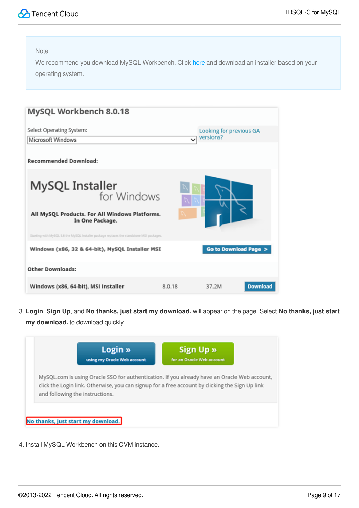

We recommend you download MySQL Workbench. Click [here](https://dev.mysql.com/downloads/workbench/) and download an installer based on your operating system.

| MySQL Workbench 8.0.18                                                                    |              |                          |
|-------------------------------------------------------------------------------------------|--------------|--------------------------|
| Select Operating System:                                                                  |              | Looking for previous GA  |
| Microsoft Windows                                                                         | $\checkmark$ | versions?                |
| <b>Recommended Download:</b>                                                              |              |                          |
| <b>MySQL Installer</b> for Windows                                                        |              |                          |
| All MySQL Products. For All Windows Platforms.<br>In One Package.                         |              |                          |
| Starting with MySQL 5.6 the MySQL Installer package replaces the standalone MSI packages. |              |                          |
| Windows (x86, 32 & 64-bit), MySQL Installer MSI                                           |              | Go to Download Page >    |
| <b>Other Downloads:</b>                                                                   |              |                          |
| Windows (x86, 64-bit), MSI Installer                                                      | 8.0.18       | <b>Download</b><br>37.2M |

3. **Login**, **Sign Up**, and **No thanks, just start my download.** will appear on the page. Select **No thanks, just start my download.** to download quickly.



4. Install MySQL Workbench on this CVM instance.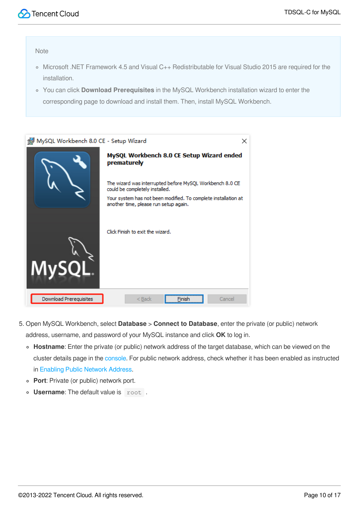- Microsoft .NET Framework 4.5 and Visual C++ Redistributable for Visual Studio 2015 are required for the installation.
- You can click **Download Prerequisites** in the MySQL Workbench installation wizard to enter the corresponding page to download and install them. Then, install MySQL Workbench.

| MySQL Workbench 8.0 CE - Setup Wizard | ×                                                                                                       |
|---------------------------------------|---------------------------------------------------------------------------------------------------------|
|                                       | MySQL Workbench 8.0 CE Setup Wizard ended<br>prematurely                                                |
|                                       | The wizard was interrupted before MySQL Workbench 8.0 CE<br>could be completely installed.              |
|                                       | Your system has not been modified. To complete installation at<br>another time, please run setup again. |
| <b>MySQI</b>                          | Click Finish to exit the wizard.                                                                        |
| Download Prerequisites                | Cancel<br>$<$ Back<br>Finish                                                                            |

- 5. Open MySQL Workbench, select **Database** > **Connect to Database**, enter the private (or public) network address, username, and password of your MySQL instance and click **OK** to log in.
	- **Hostname**: Enter the private (or public) network address of the target database, which can be viewed on the cluster details page in the [console](https://console.cloud.tencent.com/cynosdb). For public network address, check whether it has been enabled as instructed in [Enabling](#page-15-0) Public Network Address.
	- **Port**: Private (or public) network port.
	- **Username:** The default value is root.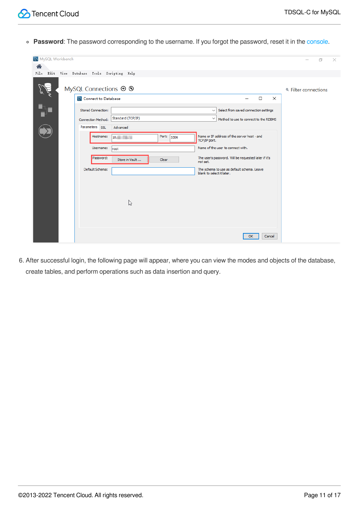**Password**: The password corresponding to the username. If you forgot the password, reset it in the [console](https://console.cloud.tencent.com/cynosdb).

| MySQL Workbench |                                                                                                          | $\times$<br>门               |
|-----------------|----------------------------------------------------------------------------------------------------------|-----------------------------|
| 合               | File Edit View Database Tools Scripting Help                                                             |                             |
|                 |                                                                                                          |                             |
|                 | MySQL Connections $\oplus$ $\otimes$                                                                     | <b>4 Filter connections</b> |
|                 | Connect to Database<br>$\Box$<br>$\times$                                                                |                             |
|                 | <b>Stored Connection:</b><br>Select from saved connection settings<br>$\checkmark$                       |                             |
|                 | Standard (TCP/IP)<br>$\checkmark$<br>Method to use to connect to the RDBMS<br><b>Connection Method:</b>  |                             |
|                 | Parameters SSL<br>Advanced                                                                               |                             |
|                 | Name or IP address of the server host - and<br>Hostname:<br>Port:<br>10.<br>3306<br>TCP/IP port.         |                             |
|                 | Name of the user to connect with.<br>Username:<br>root                                                   |                             |
|                 | The user's password. Will be requested later if it's<br>Password:<br>Store in Vault<br>Clear<br>not set. |                             |
|                 | Default Schema:<br>The schema to use as default schema. Leave<br>blank to select it later.               |                             |
|                 |                                                                                                          |                             |
|                 |                                                                                                          |                             |
|                 | $\mathbb{Z}$                                                                                             |                             |
|                 |                                                                                                          |                             |
|                 |                                                                                                          |                             |
|                 |                                                                                                          |                             |
|                 | <b>OK</b><br>Cancel                                                                                      |                             |
|                 |                                                                                                          |                             |

6. After successful login, the following page will appear, where you can view the modes and objects of the database, create tables, and perform operations such as data insertion and query.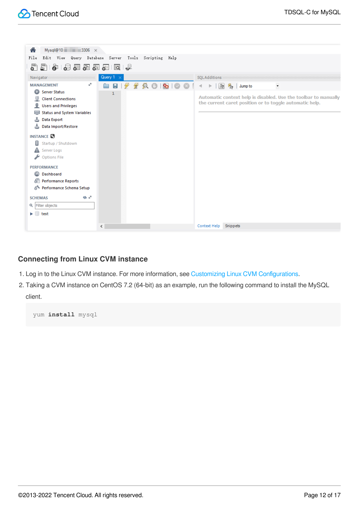

### **Connecting from Linux CVM instance**

- 1. Log in to the Linux CVM instance. For more information, see Customizing Linux CVM [Configurations](https://intl.cloud.tencent.com/document/product/213/10517).
- 2. Taking a CVM instance on CentOS 7.2 (64-bit) as an example, run the following command to install the MySQL client.

yum **install** mysql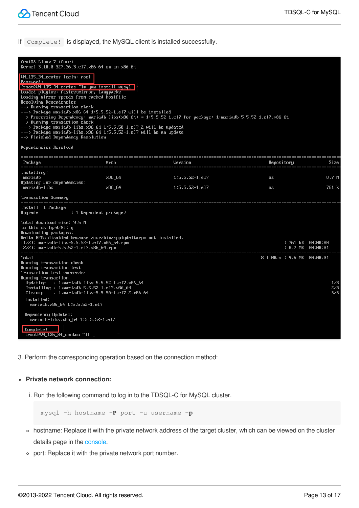If Complete! is displayed, the MySQL client is installed successfully.

| CentOS Linux 7 (Core)<br>Kernel 3.10.0-327.36.3.el7.x86_64 on an x86_64<br>UM_135_34_centos login: root<br>Password:<br>[root@UM_135_34_centos ~]# yum install mysql  <br>Loaded plugins: fastestmirror, langpacks<br>Loading mirror speeds from cached hostfile<br>Resolving Dependencies<br>$\rightarrow$ Running transaction check<br>$\rightarrow$ ---> Package mariadb. $\times$ 86 64 1:5.5.52-1.el7 will be installed<br>$\rightarrow$ Running transaction check<br>---> Package mariadb-libs.x86_64 1:5.5.50-1.el7_2 will be updated<br>$\rightarrow$ --> Package mariadb-libs. $\times$ 86_64 1:5.5.52-1.el7 will be an update |                | --> Processing Dependency: mariadb-libs(x86-64) = 1:5.5.52-1.el7 for package: 1:mariadb-5.5.52-1.el7.x86_64 |                            |                                                 |
|-----------------------------------------------------------------------------------------------------------------------------------------------------------------------------------------------------------------------------------------------------------------------------------------------------------------------------------------------------------------------------------------------------------------------------------------------------------------------------------------------------------------------------------------------------------------------------------------------------------------------------------------|----------------|-------------------------------------------------------------------------------------------------------------|----------------------------|-------------------------------------------------|
| --> Finished Dependency Resolution<br>Dependencies Resolved                                                                                                                                                                                                                                                                                                                                                                                                                                                                                                                                                                             |                |                                                                                                             |                            |                                                 |
|                                                                                                                                                                                                                                                                                                                                                                                                                                                                                                                                                                                                                                         |                |                                                                                                             |                            |                                                 |
| Package                                                                                                                                                                                                                                                                                                                                                                                                                                                                                                                                                                                                                                 | Arch           | Version                                                                                                     | Repository                 | Size                                            |
| Installing:<br>mariadb<br>Updating for dependencies:                                                                                                                                                                                                                                                                                                                                                                                                                                                                                                                                                                                    | x86 64         | $1:5.5.52-1.1$                                                                                              | <b>OS</b>                  | 8.7 M                                           |
| mariadb-libs                                                                                                                                                                                                                                                                                                                                                                                                                                                                                                                                                                                                                            | $\times 86$ 64 | $1:5.5.52-1. e17$                                                                                           | 50                         | 761 k                                           |
| <b>Transaction Summary</b>                                                                                                                                                                                                                                                                                                                                                                                                                                                                                                                                                                                                              |                |                                                                                                             |                            |                                                 |
| Install 1 Package<br>(1 Dependent package)<br>Upgrade                                                                                                                                                                                                                                                                                                                                                                                                                                                                                                                                                                                   |                |                                                                                                             |                            |                                                 |
| Total download size: 9.5 M<br>Is this ok [y/d/M]: y<br>Downloading packages:<br>Delta RPMs disabled because /usr/bin/applydeltarpm not installed.<br>$(1/2)$ : mariadb-libs-5.5.52-1.el7.x86_64.rpm<br>$(2/2)$ : mariadb-5.5.52-1.el7.x86_64.rpm                                                                                                                                                                                                                                                                                                                                                                                        |                |                                                                                                             |                            | 1 761 kB 00:00:00<br>$18.7 \text{ MB} 00:00:01$ |
| Total<br>Running transaction check<br>Running transaction test<br>Transaction test succeeded<br>Running transaction                                                                                                                                                                                                                                                                                                                                                                                                                                                                                                                     |                |                                                                                                             | 8.1 MB/s   9.5 MB 00:00:01 |                                                 |
| Updating : 1:mariadb-libs-5.5.52-1.el7. $\times$ 86_64<br>Installing : 1:mariadb-5.5.52-1.el7.x86_64<br>Cleanup<br>: 1:mariadb-libs-5.5.50-1.el7 2.x86 64                                                                                                                                                                                                                                                                                                                                                                                                                                                                               |                |                                                                                                             |                            | 1/3<br>2/3<br>3/3                               |
| Installed:<br>mariadb.x86_64_1:5.5.52-1.el7<br>Dependency Updated:<br>mariadb-libs.x86_64 1:5.5.52-1.el7<br>Complete!<br>IrooteUM 135 34 centos "1#                                                                                                                                                                                                                                                                                                                                                                                                                                                                                     |                |                                                                                                             |                            |                                                 |

3. Perform the corresponding operation based on the connection method:

#### **Private network connection:**

i. Run the following command to log in to the TDSQL-C for MySQL cluster.

mysql -h hostname -**P** port -u username -**p**

- hostname: Replace it with the private network address of the target cluster, which can be viewed on the cluster details page in the [console](https://console.cloud.tencent.com/cynosdb).
- port: Replace it with the private network port number.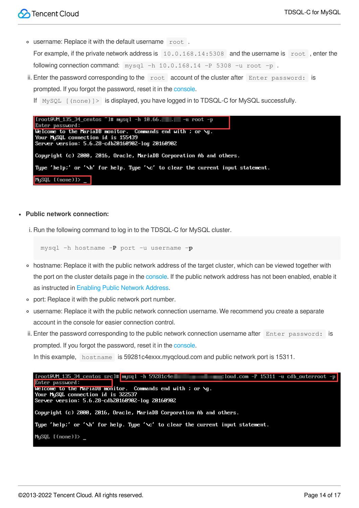username: Replace it with the default username root .

For example, if the private network address is 10.0.168.14:5308 and the username is root, enter the following connection command:  $my\sqrt{sq} -h\ 10.0.168.14 -P\ 5308 -u\ root -p$ .

- ii. Enter the password corresponding to the  $\sim$  root account of the cluster after  $\sim$  Enter password: is prompted. If you forgot the password, reset it in the [console](https://console.cloud.tencent.com/cynosdb).
	- If MySQL [(none)]> is displayed, you have logged in to TDSQL-C for MySQL successfully.

| $\lceil$ [root@UM_135_34_centos "]# musql -h 10.66. $\lceil$ . $\rceil$ -u root -p |  |  |  |  |  |
|------------------------------------------------------------------------------------|--|--|--|--|--|
| Enter password:                                                                    |  |  |  |  |  |
| Welcome to the MariaDB monitor. Commands end with ; or $\mathcal{A}q$ .            |  |  |  |  |  |
| Your MySQL connection id is 155439                                                 |  |  |  |  |  |
| Server version: 5.6.28-cdb20160902-log 20160902                                    |  |  |  |  |  |
| Copyright (c) 2000, 2016, Oracle, MariaDB Corporation Ab and others.               |  |  |  |  |  |
| Type 'help:' or '\h' for help. Type '\c' to clear the current input statement.     |  |  |  |  |  |
| MySQL $[(\text{none})]$                                                            |  |  |  |  |  |

#### **Public network connection:**

i. Run the following command to log in to the TDSQL-C for MySQL cluster.

mysql -h hostname -**P** port -u username -**p**

- hostname: Replace it with the public network address of the target cluster, which can be viewed together with the port on the cluster details page in the [console](https://console.cloud.tencent.com/cynosdb). If the public network address has not been enabled, enable it as instructed in [Enabling](#page-15-0) Public Network Address.
- port: Replace it with the public network port number.
- username: Replace it with the public network connection username. We recommend you create a separate account in the console for easier connection control.
- ii. Enter the password corresponding to the public network connection username after  $\text{Enter}$  password: is prompted. If you forgot the password, reset it in the [console](https://console.cloud.tencent.com/cynosdb).

In this example, hostname is 59281c4exxx.myqcloud.com and public network port is 15311.

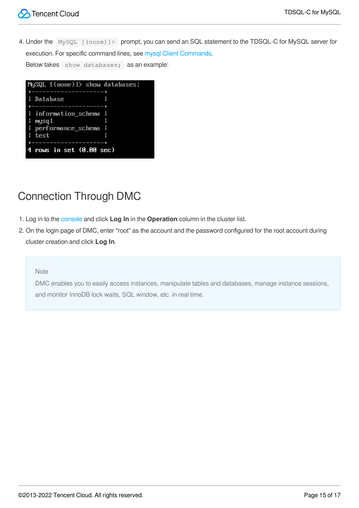4. Under the MySQL [(none)]> prompt, you can send an SQL statement to the TDSQL-C for MySQL server for execution. For specific command lines, see mysql Client [Commands.](https://dev.mysql.com/doc/refman/5.7/en/mysql-commands.html) Below takes show databases; as an example:

| MySQL $[$ (none) $]$ ) show databases; |
|----------------------------------------|
| ----------------+                      |
| : Database                             |
| ------------------                     |
| i information_schema i                 |
| H<br>H<br>mysql                        |
| : performance_schema :                 |
| l test                                 |
| . _ _ _ _ _ _ _ _ _ _ _ _ _ _ _ _      |
| 4 rows in set $(0.00$ sec)             |

### Connection Through DMC

- 1. Log in to the [console](https://console.cloud.tencent.com/cynosdb) and click **Log In** in the **Operation** column in the cluster list.
- 2. On the login page of DMC, enter "root" as the account and the password configured for the root account during cluster creation and click **Log In**.

### Note

DMC enables you to easily access instances, manipulate tables and databases, manage instance sessions, and monitor InnoDB lock waits, SQL window, etc. in real time.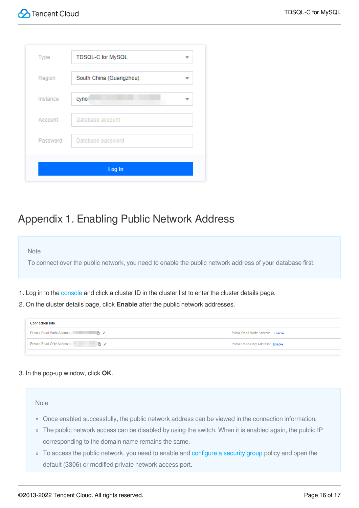| Type     | TDSQL-C for MySQL       |
|----------|-------------------------|
| Region   | South China (Guangzhou) |
| Instance | cyno:                   |
| Account  | Database account        |
| Password | Database password       |
|          | Log In                  |

### <span id="page-15-0"></span>Appendix 1. Enabling Public Network Address

#### **Note**

To connect over the public network, you need to enable the public network address of your database first.

- 1. Log in to the [console](https://console.cloud.tencent.com/cynosdb) and click a cluster ID in the cluster list to enter the cluster details page.
- 2. On the cluster details page, click **Enable** after the public network addresses.

| <b>Connection Info</b>              |                                   |  |  |  |
|-------------------------------------|-----------------------------------|--|--|--|
| Private Read-Write Address:         | Public Read-Write Address: Enable |  |  |  |
| Private Read-Only Address:<br>- 同一ノ | Public Read-Only Address: Enable  |  |  |  |

### 3. In the pop-up window, click **OK**.

#### **Note**

- Once enabled successfully, the public network address can be viewed in the connection information.
- o The public network access can be disabled by using the switch. When it is enabled again, the public IP corresponding to the domain name remains the same.
- To access the public network, you need to enable and [configure](https://intl.cloud.tencent.com/document/product/1098/44594) a security group policy and open the default (3306) or modified private network access port.